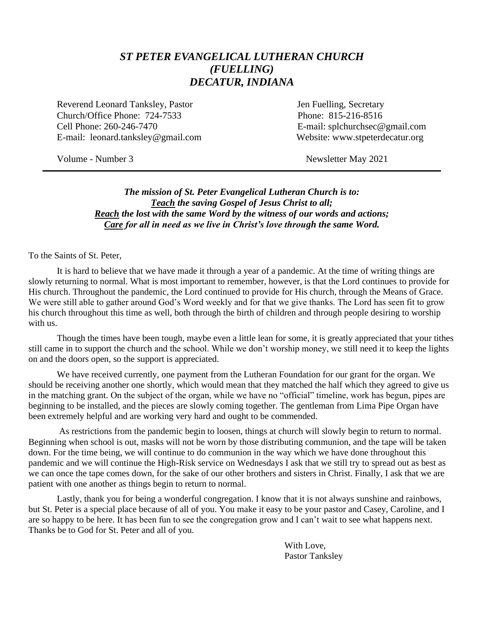### *ST PETER EVANGELICAL LUTHERAN CHURCH (FUELLING) DECATUR, INDIANA*

Reverend Leonard Tanksley, Pastor **Figure 1.1 Secretary** Jen Fuelling, Secretary Church/Office Phone: 724-7533 Phone: 815-216-8516 Cell Phone: 260-246-7470 E-mail: splchurchsec@gmail.com E-mail: leonard.tanksley@gmail.com Website: www.stpeterdecatur.org

Volume - Number 3 Newsletter May 2021

*The mission of St. Peter Evangelical Lutheran Church is to: Teach the saving Gospel of Jesus Christ to all; Reach the lost with the same Word by the witness of our words and actions; Care for all in need as we live in Christ's love through the same Word.*

To the Saints of St. Peter,

It is hard to believe that we have made it through a year of a pandemic. At the time of writing things are slowly returning to normal. What is most important to remember, however, is that the Lord continues to provide for His church. Throughout the pandemic, the Lord continued to provide for His church, through the Means of Grace. We were still able to gather around God's Word weekly and for that we give thanks. The Lord has seen fit to grow his church throughout this time as well, both through the birth of children and through people desiring to worship with us.

Though the times have been tough, maybe even a little lean for some, it is greatly appreciated that your tithes still came in to support the church and the school. While we don't worship money, we still need it to keep the lights on and the doors open, so the support is appreciated.

We have received currently, one payment from the Lutheran Foundation for our grant for the organ. We should be receiving another one shortly, which would mean that they matched the half which they agreed to give us in the matching grant. On the subject of the organ, while we have no "official" timeline, work has begun, pipes are beginning to be installed, and the pieces are slowly coming together. The gentleman from Lima Pipe Organ have been extremely helpful and are working very hard and ought to be commended.

As restrictions from the pandemic begin to loosen, things at church will slowly begin to return to normal. Beginning when school is out, masks will not be worn by those distributing communion, and the tape will be taken down. For the time being, we will continue to do communion in the way which we have done throughout this pandemic and we will continue the High-Risk service on Wednesdays I ask that we still try to spread out as best as we can once the tape comes down, for the sake of our other brothers and sisters in Christ. Finally, I ask that we are patient with one another as things begin to return to normal.

Lastly, thank you for being a wonderful congregation. I know that it is not always sunshine and rainbows, but St. Peter is a special place because of all of you. You make it easy to be your pastor and Casey, Caroline, and I are so happy to be here. It has been fun to see the congregation grow and I can't wait to see what happens next. Thanks be to God for St. Peter and all of you.

> With Love, Pastor Tanksley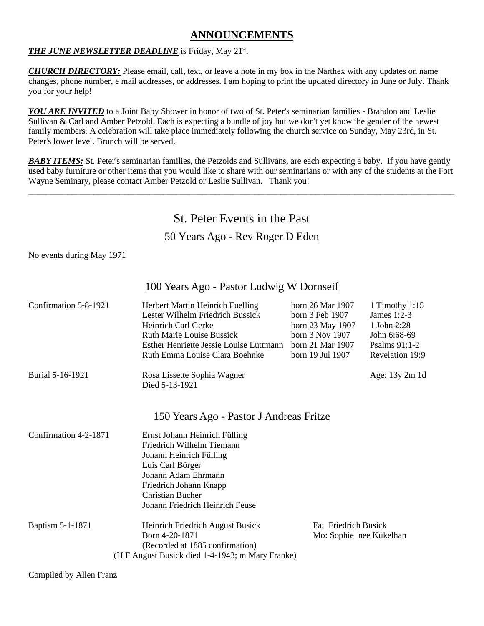#### **ANNOUNCEMENTS**

#### THE JUNE NEWSLETTER DEADLINE is Friday, May 21<sup>st</sup>.

*CHURCH DIRECTORY:* Please email, call, text, or leave a note in my box in the Narthex with any updates on name changes, phone number, e mail addresses, or addresses. I am hoping to print the updated directory in June or July. Thank you for your help!

*YOU ARE INVITED* to a Joint Baby Shower in honor of two of St. Peter's seminarian families - Brandon and Leslie Sullivan & Carl and Amber Petzold. Each is expecting a bundle of joy but we don't yet know the gender of the newest family members. A celebration will take place immediately following the church service on Sunday, May 23rd, in St. Peter's lower level. Brunch will be served.

**BABY ITEMS:** St. Peter's seminarian families, the Petzolds and Sullivans, are each expecting a baby. If you have gently used baby furniture or other items that you would like to share with our seminarians or with any of the students at the Fort Wayne Seminary, please contact Amber Petzold or Leslie Sullivan. Thank you!

\_\_\_\_\_\_\_\_\_\_\_\_\_\_\_\_\_\_\_\_\_\_\_\_\_\_\_\_\_\_\_\_\_\_\_\_\_\_\_\_\_\_\_\_\_\_\_\_\_\_\_\_\_\_\_\_\_\_\_\_\_\_\_\_\_\_\_\_\_\_\_\_\_\_\_\_\_\_\_\_\_\_\_\_\_\_\_\_\_\_\_\_\_\_\_\_\_\_

## St. Peter Events in the Past

#### 50 Years Ago - Rev Roger D Eden

No events during May 1971

#### 100 Years Ago - Pastor Ludwig W Dornseif

| Confirmation 5-8-1921 | Herbert Martin Heinrich Fuelling<br>Lester Wilhelm Friedrich Bussick<br>Heinrich Carl Gerke<br><b>Ruth Marie Louise Bussick</b><br>Esther Henriette Jessie Louise Luttmann<br>Ruth Emma Louise Clara Boehnke             | born 26 Mar 1907<br>born 3 Feb 1907<br>born 23 May 1907<br>born 3 Nov 1907<br>born 21 Mar 1907<br>born 19 Jul 1907 | 1 Timothy $1:15$<br>James $1:2-3$<br>1 John 2:28<br>John 6:68-69<br>Psalms $91:1-2$<br>Revelation 19:9 |
|-----------------------|--------------------------------------------------------------------------------------------------------------------------------------------------------------------------------------------------------------------------|--------------------------------------------------------------------------------------------------------------------|--------------------------------------------------------------------------------------------------------|
| Burial 5-16-1921      | Rosa Lissette Sophia Wagner<br>Died 5-13-1921                                                                                                                                                                            |                                                                                                                    | Age: 13y 2m 1d                                                                                         |
|                       | <u> 150 Years Ago - Pastor J Andreas Fritze</u>                                                                                                                                                                          |                                                                                                                    |                                                                                                        |
| Confirmation 4-2-1871 | Ernst Johann Heinrich Fülling<br>Friedrich Wilhelm Tiemann<br>Johann Heinrich Fülling<br>Luis Carl Börger<br>Johann Adam Ehrmann<br>Friedrich Johann Knapp<br><b>Christian Bucher</b><br>Johann Friedrich Heinrich Feuse |                                                                                                                    |                                                                                                        |
| Baptism 5-1-1871      | Heinrich Friedrich August Busick<br>Born 4-20-1871<br>(Recorded at 1885 confirmation)<br>(H F August Busick died 1-4-1943; m Mary Franke)                                                                                | Fa: Friedrich Busick<br>Mo: Sophie nee Kükelhan                                                                    |                                                                                                        |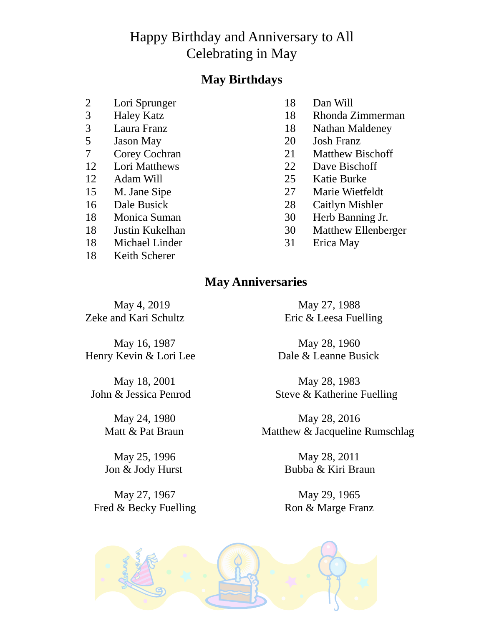## Happy Birthday and Anniversary to All Celebrating in May

## **May Birthdays**

- 2 Lori Sprunger 18 Dan Will<br>
3 Haley Katz 18 Rhonda Z
- 
- 
- 
- 
- 
- 
- 
- 
- 
- 
- 18 Michael Linder 31 Erica May
- 18 Keith Scherer
- 
- 3 Haley Katz 18 Rhonda Zimmerman
- 3 Laura Franz 18 Nathan Maldeney<br>5 Jason May 20 Josh Franz
	- 5 Jason May 20 Josh Franz
- 7 Corey Cochran 21 Matthew Bischoff
- 12 Lori Matthews 22 Dave Bischoff
- 12 Adam Will 25 Katie Burke
- 15 M. Jane Sipe 27 Marie Wietfeldt
- 16 Dale Busick 28 Caitlyn Mishler
- 18 Monica Suman 30 Herb Banning Jr.
- 18 Justin Kukelhan 30 Matthew Ellenberger
	-

## **May Anniversaries**

Zeke and Kari Schultz Eric & Leesa Fuelling

May 16, 1987 May 28, 1960

May 27, 1967 May 29, 1965 Fred & Becky Fuelling Ron & Marge Franz

May 4, 2019 May 27, 1988

Henry Kevin & Lori Lee Dale & Leanne Busick

May 18, 2001 May 28, 1983 John & Jessica Penrod Steve & Katherine Fuelling

May 24, 1980 May 28, 2016 Matt & Pat Braun Matthew & Jacqueline Rumschlag

May 25, 1996 May 28, 2011 Jon & Jody Hurst Bubba & Kiri Braun

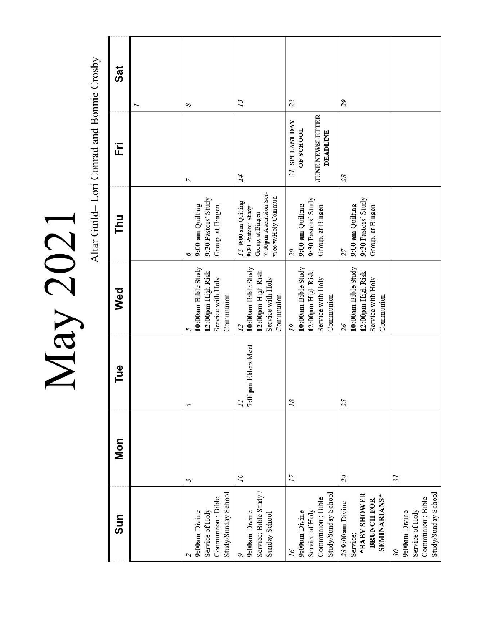|                                                                             |                          |                                       |                                                                                               |                                                                                                                  | Altar Guild-Lori Conrad and Bonnie Crosby                                 |          |
|-----------------------------------------------------------------------------|--------------------------|---------------------------------------|-----------------------------------------------------------------------------------------------|------------------------------------------------------------------------------------------------------------------|---------------------------------------------------------------------------|----------|
| Sun                                                                         | Mon                      | Tue                                   | Wed                                                                                           | Thu                                                                                                              | Ë                                                                         | Sat<br>J |
| Study/Sunday School<br>Communion; Bible<br>Service of Holy<br>9:00am Divine | $\tilde{\xi}$            | 4                                     | 10:00am Bible Study<br>12:00pm High Risk<br>Service with Holy<br>Communion<br>5               | 9:30 Pastors' Study<br>9:00 am Quilting<br>Group, at Bingen<br>9                                                 | $\overline{ }$                                                            | 8        |
| Service; Bible Study /<br>9:00am Divine<br>Sunday School                    | $\overline{\mathcal{L}}$ | 7:00pm Elders Meet<br>$\overline{11}$ | 10:00am Bible Study<br>12:00pm High Risk<br>Service with Holy<br>Communion<br>$\overline{12}$ | 7:00pm Ascension Ser-<br>vice w/Holy Commun-<br>$13$ 9:00 am Quilting<br>9:30 Pastors' Study<br>Group, at Bingen | 14                                                                        | 15       |
| Study/Sunday School<br>Communion; Bible<br>Service of Holy<br>9:00am Divine | $\overline{17}$          | 18                                    | 10:00am Bible Study<br>12:00pm High Risk<br>Service with Holy<br>Communion<br>19              | 9:30 Pastors' Study<br>9:00 am Quilting<br>Group, at Bingen<br>$\overline{\mathcal{O}}$                          | JUNE NEWSLETTER<br>21 SPI LAST DAY<br><b>OF SCHOOL</b><br><b>DEADLINE</b> | 22       |
| *BABY SHOWER<br><b>SEMINARIANS*</b><br><b>BRUNCH FOR</b><br>239:00am Divine | 24                       | 25                                    | 10:00am Bible Study<br>12:00pm High Risk<br>Service with Holy<br>Communion<br>26              | 9:30 Pastors' Study<br>9:00 am Quilting<br>Group, at Bingen<br>27                                                | 28                                                                        | 29       |
| Study/Sunday School<br>Communion; Bible<br>Service of Holy<br>9:00am Divine | $\overline{\mathcal{E}}$ |                                       |                                                                                               |                                                                                                                  |                                                                           |          |

May 2021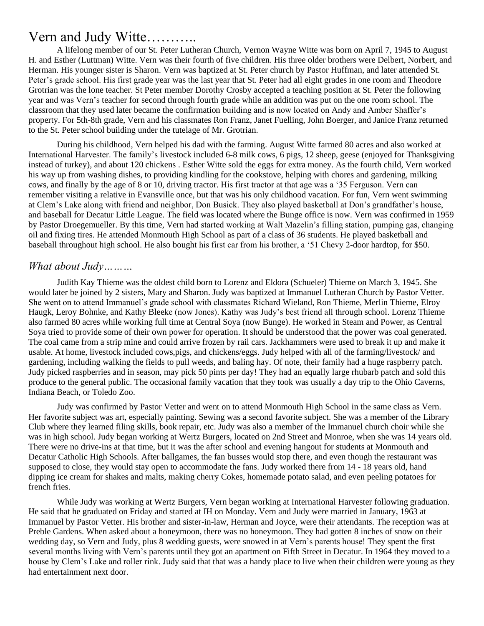## Vern and Judy Witte………..

A lifelong member of our St. Peter Lutheran Church, Vernon Wayne Witte was born on April 7, 1945 to August H. and Esther (Luttman) Witte. Vern was their fourth of five children. His three older brothers were Delbert, Norbert, and Herman. His younger sister is Sharon. Vern was baptized at St. Peter church by Pastor Huffman, and later attended St. Peter's grade school. His first grade year was the last year that St. Peter had all eight grades in one room and Theodore Grotrian was the lone teacher. St Peter member Dorothy Crosby accepted a teaching position at St. Peter the following year and was Vern's teacher for second through fourth grade while an addition was put on the one room school. The classroom that they used later became the confirmation building and is now located on Andy and Amber Shaffer's property. For 5th-8th grade, Vern and his classmates Ron Franz, Janet Fuelling, John Boerger, and Janice Franz returned to the St. Peter school building under the tutelage of Mr. Grotrian.

During his childhood, Vern helped his dad with the farming. August Witte farmed 80 acres and also worked at International Harvester. The family's livestock included 6-8 milk cows, 6 pigs, 12 sheep, geese (enjoyed for Thanksgiving instead of turkey), and about 120 chickens . Esther Witte sold the eggs for extra money. As the fourth child, Vern worked his way up from washing dishes, to providing kindling for the cookstove, helping with chores and gardening, milking cows, and finally by the age of 8 or 10, driving tractor. His first tractor at that age was a '35 Ferguson. Vern can remember visiting a relative in Evansville once, but that was his only childhood vacation. For fun, Vern went swimming at Clem's Lake along with friend and neighbor, Don Busick. They also played basketball at Don's grandfather's house, and baseball for Decatur Little League. The field was located where the Bunge office is now. Vern was confirmed in 1959 by Pastor Droegemueller. By this time, Vern had started working at Walt Mazelin's filling station, pumping gas, changing oil and fixing tires. He attended Monmouth High School as part of a class of 36 students. He played basketball and baseball throughout high school. He also bought his first car from his brother, a '51 Chevy 2-door hardtop, for \$50.

#### *What about Judy………*

Judith Kay Thieme was the oldest child born to Lorenz and Eldora (Schueler) Thieme on March 3, 1945. She would later be joined by 2 sisters, Mary and Sharon. Judy was baptized at Immanuel Lutheran Church by Pastor Vetter. She went on to attend Immanuel's grade school with classmates Richard Wieland, Ron Thieme, Merlin Thieme, Elroy Haugk, Leroy Bohnke, and Kathy Bleeke (now Jones). Kathy was Judy's best friend all through school. Lorenz Thieme also farmed 80 acres while working full time at Central Soya (now Bunge). He worked in Steam and Power, as Central Soya tried to provide some of their own power for operation. It should be understood that the power was coal generated. The coal came from a strip mine and could arrive frozen by rail cars. Jackhammers were used to break it up and make it usable. At home, livestock included cows,pigs, and chickens/eggs. Judy helped with all of the farming/livestock/ and gardening, including walking the fields to pull weeds, and baling hay. Of note, their family had a huge raspberry patch. Judy picked raspberries and in season, may pick 50 pints per day! They had an equally large rhubarb patch and sold this produce to the general public. The occasional family vacation that they took was usually a day trip to the Ohio Caverns, Indiana Beach, or Toledo Zoo.

Judy was confirmed by Pastor Vetter and went on to attend Monmouth High School in the same class as Vern. Her favorite subject was art, especially painting. Sewing was a second favorite subject. She was a member of the Library Club where they learned filing skills, book repair, etc. Judy was also a member of the Immanuel church choir while she was in high school. Judy began working at Wertz Burgers, located on 2nd Street and Monroe, when she was 14 years old. There were no drive-ins at that time, but it was the after school and evening hangout for students at Monmouth and Decatur Catholic High Schools. After ballgames, the fan busses would stop there, and even though the restaurant was supposed to close, they would stay open to accommodate the fans. Judy worked there from 14 - 18 years old, hand dipping ice cream for shakes and malts, making cherry Cokes, homemade potato salad, and even peeling potatoes for french fries.

While Judy was working at Wertz Burgers, Vern began working at International Harvester following graduation. He said that he graduated on Friday and started at IH on Monday. Vern and Judy were married in January, 1963 at Immanuel by Pastor Vetter. His brother and sister-in-law, Herman and Joyce, were their attendants. The reception was at Preble Gardens. When asked about a honeymoon, there was no honeymoon. They had gotten 8 inches of snow on their wedding day, so Vern and Judy, plus 8 wedding guests, were snowed in at Vern's parents house! They spent the first several months living with Vern's parents until they got an apartment on Fifth Street in Decatur. In 1964 they moved to a house by Clem's Lake and roller rink. Judy said that that was a handy place to live when their children were young as they had entertainment next door.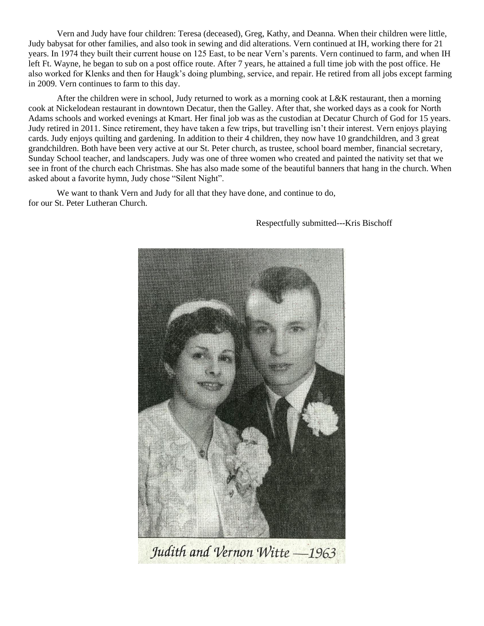Vern and Judy have four children: Teresa (deceased), Greg, Kathy, and Deanna. When their children were little, Judy babysat for other families, and also took in sewing and did alterations. Vern continued at IH, working there for 21 years. In 1974 they built their current house on 125 East, to be near Vern's parents. Vern continued to farm, and when IH left Ft. Wayne, he began to sub on a post office route. After 7 years, he attained a full time job with the post office. He also worked for Klenks and then for Haugk's doing plumbing, service, and repair. He retired from all jobs except farming in 2009. Vern continues to farm to this day.

After the children were in school, Judy returned to work as a morning cook at L&K restaurant, then a morning cook at Nickelodean restaurant in downtown Decatur, then the Galley. After that, she worked days as a cook for North Adams schools and worked evenings at Kmart. Her final job was as the custodian at Decatur Church of God for 15 years. Judy retired in 2011. Since retirement, they have taken a few trips, but travelling isn't their interest. Vern enjoys playing cards. Judy enjoys quilting and gardening. In addition to their 4 children, they now have 10 grandchildren, and 3 great grandchildren. Both have been very active at our St. Peter church, as trustee, school board member, financial secretary, Sunday School teacher, and landscapers. Judy was one of three women who created and painted the nativity set that we see in front of the church each Christmas. She has also made some of the beautiful banners that hang in the church. When asked about a favorite hymn, Judy chose "Silent Night".

We want to thank Vern and Judy for all that they have done, and continue to do, for our St. Peter Lutheran Church.



#### Respectfully submitted---Kris Bischoff